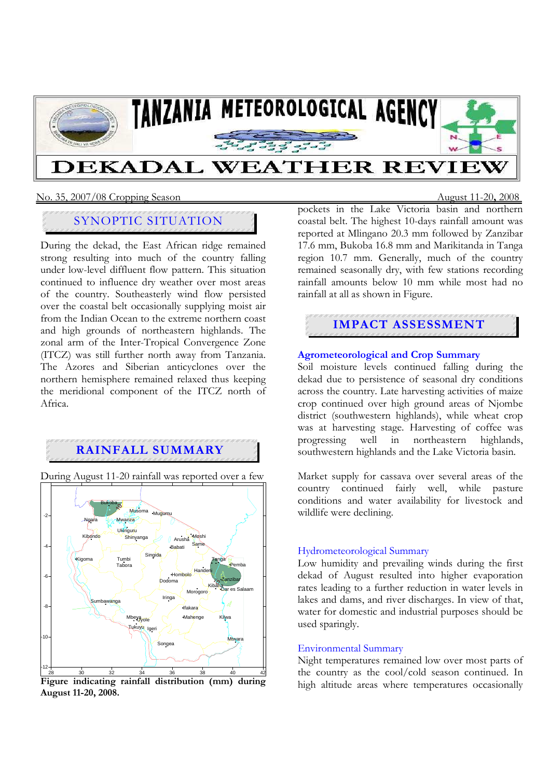

#### No. 35, 2007/08 Cropping Season August 11-20**,** 2008

# SYNOPTIC SITUATION

During the dekad, the East African ridge remained strong resulting into much of the country falling under low-level diffluent flow pattern. This situation continued to influence dry weather over most areas of the country. Southeasterly wind flow persisted over the coastal belt occasionally supplying moist air from the Indian Ocean to the extreme northern coast and high grounds of northeastern highlands. The zonal arm of the Inter-Tropical Convergence Zone (ITCZ) was still further north away from Tanzania. The Azores and Siberian anticyclones over the northern hemisphere remained relaxed thus keeping the meridional component of the ITCZ north of Africa.

## **RAINFALL SUMMARY**

During August 11-20 rainfall was reported over a few



**August 11-20, 2008.** 

pockets in the Lake Victoria basin and northern coastal belt. The highest 10-days rainfall amount was reported at Mlingano 20.3 mm followed by Zanzibar 17.6 mm, Bukoba 16.8 mm and Marikitanda in Tanga region 10.7 mm. Generally, much of the country remained seasonally dry, with few stations recording rainfall amounts below 10 mm while most had no rainfall at all as shown in Figure.

### **IMPACT ASSESSMENT**

#### **Agrometeorological and Crop Summary**

Soil moisture levels continued falling during the dekad due to persistence of seasonal dry conditions across the country. Late harvesting activities of maize crop continued over high ground areas of Njombe district (southwestern highlands), while wheat crop was at harvesting stage. Harvesting of coffee was<br>progressing well in northeastern highlands. progressing well in northeastern highlands, southwestern highlands and the Lake Victoria basin.

Market supply for cassava over several areas of the country continued fairly well, while pasture conditions and water availability for livestock and wildlife were declining.

#### Hydrometeorological Summary

Low humidity and prevailing winds during the first dekad of August resulted into higher evaporation rates leading to a further reduction in water levels in lakes and dams, and river discharges. In view of that, water for domestic and industrial purposes should be used sparingly.

#### Environmental Summary

Night temperatures remained low over most parts of the country as the cool/cold season continued. In high altitude areas where temperatures occasionally